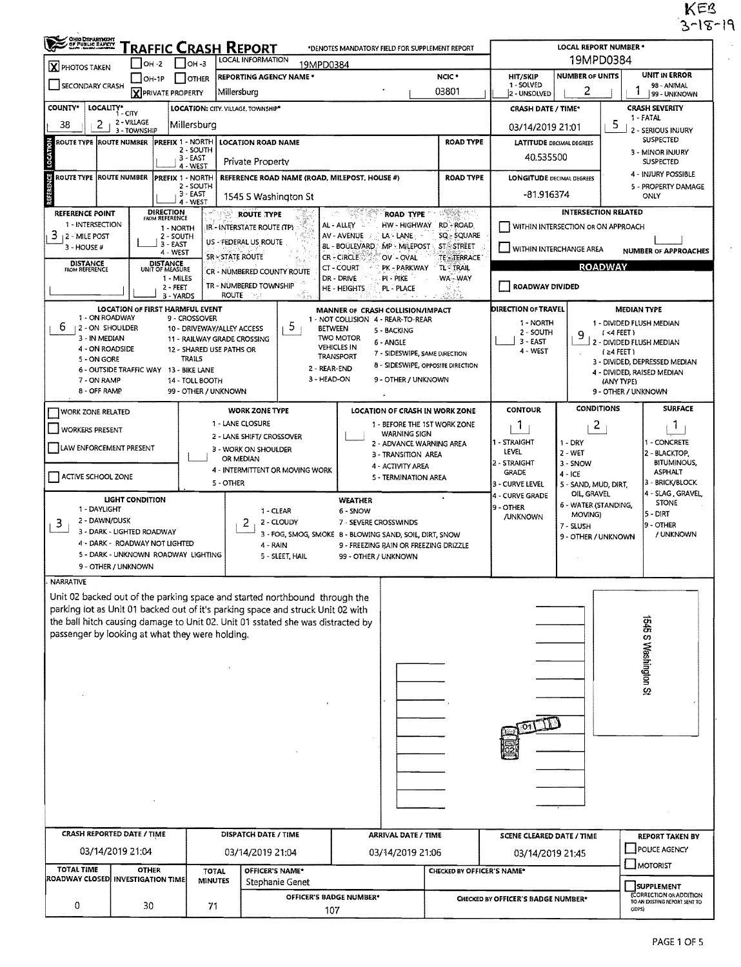$KEB$ <br>3-18-19

 $\hat{\mathcal{E}}$ 

 $\langle \cdot \rangle$ 

| GHO DEPARTMENT                                         | RAFFIC CRASH REPORT                                         |                                                         |                                                                                 | *DENOTES MANDATORY FIELD FOR SUPPLEMENT REPORT                                         |                                                                                                                                                                                                                                                                                                                                                     |                                                         | LOCAL REPORT NUMBER *                      |                                                                          |  |  |  |  |
|--------------------------------------------------------|-------------------------------------------------------------|---------------------------------------------------------|---------------------------------------------------------------------------------|----------------------------------------------------------------------------------------|-----------------------------------------------------------------------------------------------------------------------------------------------------------------------------------------------------------------------------------------------------------------------------------------------------------------------------------------------------|---------------------------------------------------------|--------------------------------------------|--------------------------------------------------------------------------|--|--|--|--|
| $\mathbf{X}$ PHOTOS TAKEN                              | LOCAL INFORMATION<br>$I$ OH -3<br><b>OH -2</b><br>19MPD0384 |                                                         |                                                                                 |                                                                                        |                                                                                                                                                                                                                                                                                                                                                     |                                                         | 19MPD0384                                  |                                                                          |  |  |  |  |
| SECONDARY CRASH                                        | $ OH-1P$                                                    | <b>OTHER</b>                                            | <b>REPORTING AGENCY NAME *</b>                                                  |                                                                                        | NCIC <sup>+</sup><br>03801                                                                                                                                                                                                                                                                                                                          | <b>NUMBER OF UNITS</b><br><b>HIT/SKIP</b><br>1 - SOLVED |                                            | UNIT IN ERROR<br>98 - ANIMAL                                             |  |  |  |  |
|                                                        | <b>X</b> PRIVATE PROPERTY                                   |                                                         | Millersburg                                                                     |                                                                                        | 2 - UNSOLVED                                                                                                                                                                                                                                                                                                                                        | 2                                                       | 99 - UNKNOWN                               |                                                                          |  |  |  |  |
| <b>COUNTY*</b><br>LOCALITY*                            | 1 - CITY<br>2 - VILLAGE                                     | LOCATION: CITY, VILLAGE, TOWNSHIP*                      |                                                                                 |                                                                                        |                                                                                                                                                                                                                                                                                                                                                     | <b>CRASH DATE / TIME*</b>                               |                                            | <b>CRASH SEVERITY</b><br>1 - FATAL                                       |  |  |  |  |
| 2<br>38                                                | 3 - TOWNSHIP                                                | Millersburg                                             |                                                                                 |                                                                                        |                                                                                                                                                                                                                                                                                                                                                     | 03/14/2019 21:01                                        |                                            | 5<br>2 - SERIOUS INJURY<br><b>SUSPECTED</b>                              |  |  |  |  |
| <b>ROUTE TYPE IROUTE NUMBER</b>                        | PREFIX 1 - NORTH                                            | 2 - SOUTH                                               | <b>LOCATION ROAD NAME</b>                                                       |                                                                                        | <b>ROAD TYPE</b>                                                                                                                                                                                                                                                                                                                                    | <b>LATITUDE DECIMAL DEGREES</b>                         |                                            | 3 - MINOR INJURY                                                         |  |  |  |  |
| LOCATI                                                 |                                                             | $3 - EAST$<br>4 - WEST                                  | <b>Private Property</b>                                                         |                                                                                        |                                                                                                                                                                                                                                                                                                                                                     | 40.535500                                               |                                            | <b>SUSPECTED</b>                                                         |  |  |  |  |
| ö<br><b>ROUTE TYPE ROUTE NUMBER</b>                    | PREFIX 1 - NORTH                                            | 2 - SOUTH                                               | REFERENCE ROAD NAME (ROAD, MILEPOST, HOUSE #)                                   |                                                                                        | <b>ROAD TYPE</b>                                                                                                                                                                                                                                                                                                                                    | <b>LONGITUDE DECIMAL DEGREES</b>                        | 4 - INJURY POSSIBLE<br>5 - PROPERTY DAMAGE |                                                                          |  |  |  |  |
|                                                        |                                                             | $3 - EAST$<br>4 - WEST                                  | 1545 S Washington St                                                            |                                                                                        |                                                                                                                                                                                                                                                                                                                                                     | -81.916374                                              |                                            | ONLY                                                                     |  |  |  |  |
| <b>REFERENCE POINT</b>                                 | DIRECTION<br>FROM REFERENCE                                 |                                                         | ROUTE TYPE                                                                      | i ang kabupatèn<br><b>ROAD TYPE</b>                                                    | $\begin{picture}(20,20) \put(0,0){\line(1,0){10}} \put(10,0){\line(1,0){10}} \put(10,0){\line(1,0){10}} \put(10,0){\line(1,0){10}} \put(10,0){\line(1,0){10}} \put(10,0){\line(1,0){10}} \put(10,0){\line(1,0){10}} \put(10,0){\line(1,0){10}} \put(10,0){\line(1,0){10}} \put(10,0){\line(1,0){10}} \put(10,0){\line(1,0){10}} \put(10,0){\line(1$ |                                                         | <b>INTERSECTION RELATED</b>                |                                                                          |  |  |  |  |
| 1 - INTERSECTION<br>3<br>12 - MILE POST                | 1 - NORTH<br>2 - SOUTH                                      |                                                         | IR - INTERSTATE ROUTE (TP)                                                      | AL - ALLEY<br>HW-HIGHWAY RD-ROAD<br>AV - AVENUE<br>LA - LANE                           | SQ - SQUARE                                                                                                                                                                                                                                                                                                                                         |                                                         | WITHIN INTERSECTION OR ON APPROACH         |                                                                          |  |  |  |  |
| 3 - HOUSE #                                            | 3 - EAST<br>4 - WEST                                        |                                                         | US - FEDERAL US ROUTE                                                           | <b>BL - BOULEVARD</b><br>MP - MILEPOST -                                               | <b>ST + STREET</b>                                                                                                                                                                                                                                                                                                                                  | WITHIN INTERCHANGE AREA                                 |                                            | <b>NUMBER OF APPROACHES</b>                                              |  |  |  |  |
| <b>DISTANCE</b><br>FROM REFERENCE                      | DISTANCE<br>UNIT OF MEASURE                                 | SR-STATE ROUTE                                          | CR - NUMBERED COUNTY ROUTE                                                      | CR - CIRCLE<br>OV-OVAL<br>CT-COURT<br>PK - PARKWAY                                     | <b>TE - TERRACE</b><br><b>TLETRAIL</b>                                                                                                                                                                                                                                                                                                              |                                                         | <b>ROADWAY</b>                             |                                                                          |  |  |  |  |
|                                                        | 1 - MILES<br>$2 - FEET$                                     |                                                         | TR - NUMBERED TOWNSHIP                                                          | pi - Pike<br>DR - DRIVE<br>HE - HEIGHTS<br>PL - PLACE                                  | WA-WAY                                                                                                                                                                                                                                                                                                                                              | ROADWAY DIVIDED                                         |                                            |                                                                          |  |  |  |  |
|                                                        | 3 - YARDS                                                   |                                                         | ROUTE <b>A</b>                                                                  |                                                                                        |                                                                                                                                                                                                                                                                                                                                                     |                                                         |                                            |                                                                          |  |  |  |  |
| 1 - ON ROADWAY                                         | LOCATION OF FIRST HARMFUL EVENT                             | 9 - CROSSOVER                                           |                                                                                 | MANNER OF CRASH COLLISION/IMPACT<br>1 - NOT COLLISION 4 - REAR-TO-REAR                 |                                                                                                                                                                                                                                                                                                                                                     | <b>DIRECTION OF TRAVEL</b>                              |                                            | <b>MEDIAN TYPE</b>                                                       |  |  |  |  |
| 6<br>12 - ON SHOULDER                                  |                                                             | 10 - DRIVEWAY/ALLEY ACCESS                              | 5.<br><b>BETWEEN</b>                                                            | 5 - BACKING                                                                            |                                                                                                                                                                                                                                                                                                                                                     | 1 - NORTH<br>2 - SOUTH                                  | 9                                          | 1 - DIVIDED FLUSH MEDIAN<br>$($ <4 FEET $)$                              |  |  |  |  |
| 3 - IN MEDIAN<br>4 - ON ROADSIDE                       |                                                             | 11 - RAILWAY GRADE CROSSING<br>12 - SHARED USE PATHS OR |                                                                                 | <b>TWO MOTOR</b><br>6 - ANGLE<br><b>VEHICLES IN</b>                                    |                                                                                                                                                                                                                                                                                                                                                     | $3 - EAST$<br>4 - WEST                                  |                                            | 2 - DIVIDED FLUSH MEDIAN<br>$(24$ FEET)<br>3 - DIVIDED, DEPRESSED MEDIAN |  |  |  |  |
| 5 - ON GORE                                            |                                                             | <b>TRAILS</b>                                           | 2 - REAR-END                                                                    | 7 - SIDESWIPE, SAME DIRECTION<br><b>TRANSPORT</b><br>8 - SIDESWIPE, OPPOSITE DIRECTION |                                                                                                                                                                                                                                                                                                                                                     |                                                         |                                            |                                                                          |  |  |  |  |
| 7 - ON RAMP                                            | 6 - OUTSIDE TRAFFIC WAY 13 - BIKE LANE                      | 14 - TOLL BOOTH                                         | 3 - HEAD-ON                                                                     | 9 - OTHER / UNKNOWN                                                                    |                                                                                                                                                                                                                                                                                                                                                     |                                                         |                                            | 4 - DIVIDED, RAISED MEDIAN<br>(ANY TYPE)                                 |  |  |  |  |
| 8 - OFF RAMP                                           |                                                             | 99 - OTHER / UNKNOWN                                    |                                                                                 |                                                                                        |                                                                                                                                                                                                                                                                                                                                                     |                                                         |                                            | 9 - OTHER / UNKNOWN                                                      |  |  |  |  |
| WORK ZONE RELATED                                      |                                                             |                                                         | <b>WORK ZONE TYPE</b>                                                           | LOCATION OF CRASH IN WORK ZONE                                                         |                                                                                                                                                                                                                                                                                                                                                     | <b>CONTOUR</b>                                          | <b>CONDITIONS</b>                          | <b>SURFACE</b>                                                           |  |  |  |  |
| <b>WORKERS PRESENT</b>                                 |                                                             |                                                         | 1 - LANE CLOSURE                                                                | 1 - BEFORE THE 1ST WORK ZONE<br><b>WARNING SIGN</b>                                    |                                                                                                                                                                                                                                                                                                                                                     | 1.                                                      | $\overline{2}$                             | 1                                                                        |  |  |  |  |
| LAW ENFORCEMENT PRESENT                                |                                                             |                                                         | 2 - LANE SHIFT/ CROSSOVER<br>3 - WORK ON SHOULDER                               | 2 - ADVANCE WARNING AREA                                                               |                                                                                                                                                                                                                                                                                                                                                     | 1 - STRAIGHT<br>LEVEL                                   | $1 - DRY$<br>$2 - WET$                     | 1 - CONCRETE                                                             |  |  |  |  |
|                                                        |                                                             |                                                         | OR MEDIAN                                                                       | 3 - TRANSITION AREA<br>4 - ACTIVITY AREA                                               |                                                                                                                                                                                                                                                                                                                                                     | 2 - STRAIGHT                                            | 3 - SNOW                                   | 2 - BLACKTOP,<br><b>BITUMINOUS,</b><br><b>ASPHALT</b><br>3 - BRICK/BLOCK |  |  |  |  |
| ACTIVE SCHOOL ZONE                                     |                                                             | 5 - OTHER                                               | 4 - INTERMITTENT OR MOVING WORK                                                 | 5 - TERMINATION AREA                                                                   |                                                                                                                                                                                                                                                                                                                                                     | <b>GRADE</b><br>3 - CURVE LEVEL                         | $4 - ICE$<br>5 - SAND, MUD, DIRT,          |                                                                          |  |  |  |  |
|                                                        | LIGHT CONDITION                                             |                                                         |                                                                                 | <b>WEATHER</b>                                                                         |                                                                                                                                                                                                                                                                                                                                                     | 4 - CURVE GRADE                                         | OIL, GRAVEL                                | 4 - SLAG , GRAVEL,                                                       |  |  |  |  |
| 1 - DAYLIGHT                                           |                                                             |                                                         | 1 - CLEAR                                                                       | $6 - SNOW$                                                                             |                                                                                                                                                                                                                                                                                                                                                     | 9 - OTHER<br>/UNKNOWN                                   | 6 - WATER (STANDING,<br>MOVING)            | <b>STONE</b><br>$5 - DIRT$                                               |  |  |  |  |
| 2 - DAWN/DUSK<br>3                                     | 3 - DARK - LIGHTED ROADWAY                                  |                                                         | 2<br>2 - CLOUDY                                                                 | 7 - SEVERE CROSSWINDS<br>3 - FOG, SMOG, SMOKE 8 - BLOWING SAND, SOIL, DIRT, SNOW       |                                                                                                                                                                                                                                                                                                                                                     |                                                         | 7 - SLUSH                                  | 9 - OTHER<br>/ UNKNOWN                                                   |  |  |  |  |
|                                                        | 4 - DARK - ROADWAY NOT LIGHTED                              |                                                         | 4 - RAIN                                                                        | 9 - FREEZING RAIN OR FREEZING DRIZZLE                                                  |                                                                                                                                                                                                                                                                                                                                                     |                                                         | 9 - OTHER / UNKNOWN                        |                                                                          |  |  |  |  |
| 9 - OTHER / UNKNOWN                                    | 5 - DARK - UNKNOWN ROADWAY LIGHTING                         |                                                         | 5 - SLEET, HAIL                                                                 | 99 - OTHER / UNKNOWN                                                                   |                                                                                                                                                                                                                                                                                                                                                     |                                                         |                                            |                                                                          |  |  |  |  |
| <b>NARRATIVE</b>                                       |                                                             |                                                         |                                                                                 |                                                                                        |                                                                                                                                                                                                                                                                                                                                                     |                                                         |                                            |                                                                          |  |  |  |  |
|                                                        |                                                             |                                                         | Unit 02 backed out of the parking space and started northbound through the      |                                                                                        |                                                                                                                                                                                                                                                                                                                                                     |                                                         |                                            |                                                                          |  |  |  |  |
|                                                        |                                                             |                                                         | parking lot as Unit 01 backed out of it's parking space and struck Unit 02 with |                                                                                        |                                                                                                                                                                                                                                                                                                                                                     |                                                         |                                            |                                                                          |  |  |  |  |
| passenger by looking at what they were holding.        |                                                             |                                                         | the ball hitch causing damage to Unit 02. Unit 01 sstated she was distracted by |                                                                                        |                                                                                                                                                                                                                                                                                                                                                     |                                                         |                                            | <b>IS45 S Washington St</b>                                              |  |  |  |  |
|                                                        |                                                             |                                                         |                                                                                 |                                                                                        |                                                                                                                                                                                                                                                                                                                                                     |                                                         |                                            |                                                                          |  |  |  |  |
|                                                        |                                                             |                                                         |                                                                                 |                                                                                        |                                                                                                                                                                                                                                                                                                                                                     |                                                         |                                            |                                                                          |  |  |  |  |
|                                                        |                                                             |                                                         |                                                                                 |                                                                                        |                                                                                                                                                                                                                                                                                                                                                     |                                                         |                                            |                                                                          |  |  |  |  |
|                                                        |                                                             |                                                         |                                                                                 |                                                                                        |                                                                                                                                                                                                                                                                                                                                                     |                                                         |                                            |                                                                          |  |  |  |  |
|                                                        |                                                             |                                                         |                                                                                 |                                                                                        |                                                                                                                                                                                                                                                                                                                                                     |                                                         |                                            |                                                                          |  |  |  |  |
|                                                        |                                                             |                                                         |                                                                                 |                                                                                        |                                                                                                                                                                                                                                                                                                                                                     |                                                         |                                            |                                                                          |  |  |  |  |
|                                                        |                                                             |                                                         |                                                                                 |                                                                                        |                                                                                                                                                                                                                                                                                                                                                     |                                                         |                                            |                                                                          |  |  |  |  |
|                                                        |                                                             |                                                         |                                                                                 |                                                                                        |                                                                                                                                                                                                                                                                                                                                                     |                                                         |                                            |                                                                          |  |  |  |  |
|                                                        |                                                             |                                                         |                                                                                 |                                                                                        |                                                                                                                                                                                                                                                                                                                                                     |                                                         |                                            |                                                                          |  |  |  |  |
|                                                        |                                                             |                                                         |                                                                                 |                                                                                        |                                                                                                                                                                                                                                                                                                                                                     |                                                         |                                            |                                                                          |  |  |  |  |
|                                                        |                                                             |                                                         |                                                                                 |                                                                                        |                                                                                                                                                                                                                                                                                                                                                     |                                                         |                                            |                                                                          |  |  |  |  |
|                                                        |                                                             |                                                         |                                                                                 |                                                                                        |                                                                                                                                                                                                                                                                                                                                                     |                                                         |                                            |                                                                          |  |  |  |  |
| CRASH REPORTED DATE / TIME                             |                                                             |                                                         | DISPATCH DATE / TIME                                                            | <b>ARRIVAL DATE / TIME</b>                                                             |                                                                                                                                                                                                                                                                                                                                                     | <b>SCENE CLEARED DATE / TIME</b>                        |                                            | <b>REPORT TAKEN BY</b><br>POUCE AGENCY                                   |  |  |  |  |
| 03/14/2019 21:04                                       |                                                             |                                                         | 03/14/2019 21:04                                                                | 03/14/2019 21:06                                                                       |                                                                                                                                                                                                                                                                                                                                                     | 03/14/2019 21:45                                        |                                            | $\Box$ MOTORIST                                                          |  |  |  |  |
| <b>TOTAL TIME</b><br>ROADWAY CLOSED INVESTIGATION TIME | <b>OTHER</b>                                                | <b>TOTAL</b><br><b>MINUTES</b>                          | OFFICER'S NAME*<br>Stephanie Genet                                              |                                                                                        | CHECKED BY OFFICER'S NAME*                                                                                                                                                                                                                                                                                                                          |                                                         |                                            |                                                                          |  |  |  |  |
|                                                        |                                                             |                                                         | OFFICER'S BADGE NUMBER*                                                         |                                                                                        |                                                                                                                                                                                                                                                                                                                                                     |                                                         |                                            | <b>SUPPLEMENT</b><br>(CORRECTION OR ADDITION                             |  |  |  |  |
| 0                                                      | 30                                                          | 71                                                      | 107                                                                             |                                                                                        | CHECKED BY OFFICER'S BADGE NUMBER*                                                                                                                                                                                                                                                                                                                  | TO AN EXISTING REPORT SENT TO<br><b>ODPS)</b>           |                                            |                                                                          |  |  |  |  |
|                                                        |                                                             |                                                         |                                                                                 |                                                                                        |                                                                                                                                                                                                                                                                                                                                                     |                                                         |                                            |                                                                          |  |  |  |  |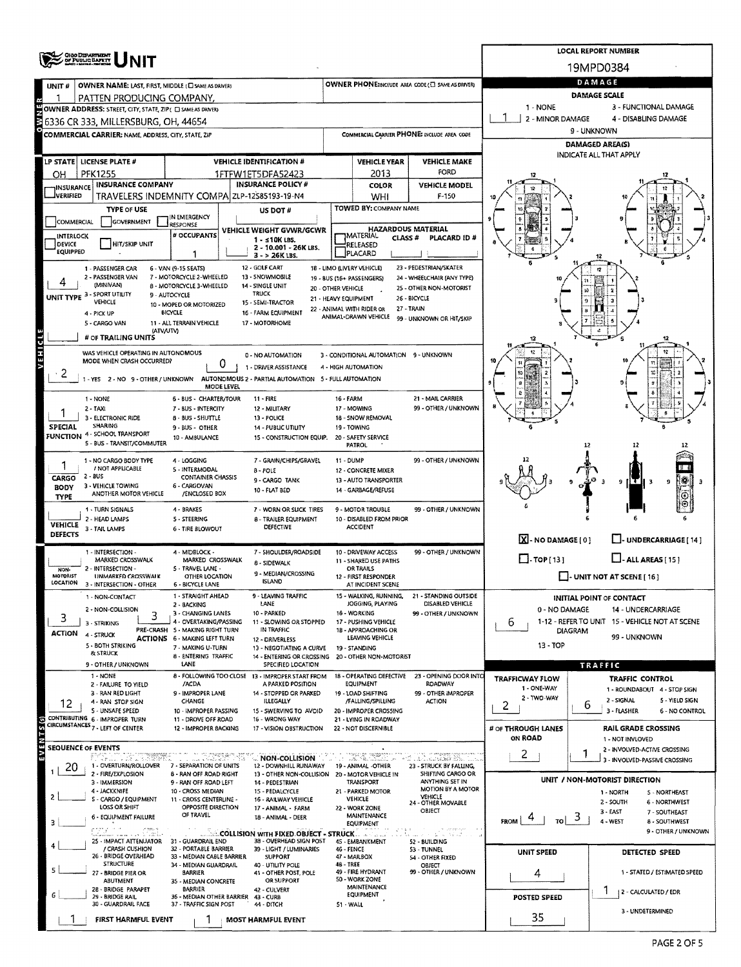|                                      |                                                                                                     |                                                                 |                                                                        |                                            |                                                          |                                                                                 |                                                   |                | <b>LOCAL REPORT NUMBER</b>                                           |  |  |  |  |
|--------------------------------------|-----------------------------------------------------------------------------------------------------|-----------------------------------------------------------------|------------------------------------------------------------------------|--------------------------------------------|----------------------------------------------------------|---------------------------------------------------------------------------------|---------------------------------------------------|----------------|----------------------------------------------------------------------|--|--|--|--|
| OHO DEPARTMENT<br>NIT                |                                                                                                     |                                                                 |                                                                        |                                            |                                                          |                                                                                 |                                                   | 19MPD0384      |                                                                      |  |  |  |  |
| UNIT #                               | OWNER NAME: LAST, FIRST, MIDDLE (C) SAME AS DRIVER)                                                 |                                                                 |                                                                        |                                            |                                                          | OWNER PHONE:INCLUDE AREA CODE (E) SAME AS DRIVER)                               |                                                   | DAMAGE         |                                                                      |  |  |  |  |
|                                      | PATTEN PRODUCING COMPANY.                                                                           |                                                                 |                                                                        |                                            |                                                          |                                                                                 | DAMAGE SCALE<br>1 - NONE<br>3 - FUNCTIONAL DAMAGE |                |                                                                      |  |  |  |  |
|                                      | OWNER ADDRESS: STREET, CITY, STATE, ZIP ( C) SAME AS DRIVER)<br>6336 CR 333, MILLERSBURG, OH, 44654 |                                                                 |                                                                        |                                            |                                                          |                                                                                 | 2 - MINOR DAMAGE<br>4 - DISABLING DAMAGE          |                |                                                                      |  |  |  |  |
|                                      | COMMERCIAL CARRIER: NAME, ADDRESS, CITY, STATE, 2JP                                                 |                                                                 |                                                                        |                                            |                                                          | COMMERCIAL CARRIER PHONE: INCLUDE AREA CODE                                     | 9 - UNKNOWN                                       |                |                                                                      |  |  |  |  |
|                                      |                                                                                                     |                                                                 |                                                                        |                                            |                                                          |                                                                                 | DAMAGED AREA(S)                                   |                |                                                                      |  |  |  |  |
|                                      | LP STATE   LICENSE PLATE #                                                                          |                                                                 | <b>VEHICLE IDENTIFICATION #</b>                                        |                                            | <b>VEHICLE YEAR</b>                                      | <b>VEHICLE MAKE</b>                                                             |                                                   |                | INDICATE ALL THAT APPLY                                              |  |  |  |  |
| ОН                                   | <b>PFK1255</b>                                                                                      |                                                                 | 1FTFW1ET5DFA52423                                                      |                                            | 2013                                                     | FORD                                                                            |                                                   |                |                                                                      |  |  |  |  |
| <b>INSURANCE</b><br><b>JVERIFIED</b> | <b>INSURANCE COMPANY</b>                                                                            | TRAVELERS INDEMNITY COMPA ZLP-12585193-19-N4                    | <b>INSURANCE POLICY #</b>                                              |                                            | COLOR<br>WHI                                             | <b>VEHICLE MODEL</b><br>$F-150$                                                 |                                                   |                |                                                                      |  |  |  |  |
|                                      | <b>TYPE OF USE</b>                                                                                  |                                                                 | US DOT #                                                               |                                            | TOWED BY: COMPANY NAME                                   |                                                                                 |                                                   |                |                                                                      |  |  |  |  |
| COMMERCIAL                           | GOVERNMENT                                                                                          | IN EMERGENCY<br>RESPONSE                                        |                                                                        |                                            |                                                          |                                                                                 |                                                   |                |                                                                      |  |  |  |  |
| INTERLOCK                            |                                                                                                     | # OCCUPANTS                                                     | VEHICLE WEIGHT GVWR/GCWR<br>$1 - s10K$ LBS.                            |                                            | <b>HAZARDOUS MATERIAL</b><br><b>IMATERIAL</b><br>CLASS # | PLACARD ID #                                                                    |                                                   |                |                                                                      |  |  |  |  |
| DEVICE<br><b>EQUIPPED</b>            | HIT/SKIP UNIT                                                                                       | 1                                                               | 2 - 10.001 - 26K LBS.<br>$3 - 26K$ LBS.                                |                                            | RELEASED<br>PLACARD                                      |                                                                                 |                                                   |                |                                                                      |  |  |  |  |
|                                      | 1 - PASSENGER CAR                                                                                   | 6 - VAN (9-15 SEATS)                                            | 12 - GOLF CART                                                         |                                            | 18 - LIMO (LIVERY VEHICLE)                               | 23 - PEDESTRIAN/SKATER                                                          |                                                   |                |                                                                      |  |  |  |  |
|                                      | 2 - PASSENGER VAN<br>(MINIVAN)                                                                      | 7 - MOTORCYCLE 2-WHEELED<br>8 - MOTORCYCLE 3-WHEELED            | 13 - SNOWMOBILE<br>14 - SINGLE UNIT                                    |                                            | 19 - BUS (16+ PASSENGERS)                                | 24 - WHEELCHAIR (ANY TYPE)                                                      |                                                   |                |                                                                      |  |  |  |  |
|                                      | UNIT TYPE 3 - SPORT UTILITY<br>VEHICLE                                                              | 9 - AUTOCYCLE                                                   | <b>TRUCK</b><br>15 - SEMI-TRACTOR                                      | 20 - OTHER VEHICLE<br>21 - HEAVY EQUIPMENT |                                                          | 25 - OTHER NON-MOTORIST<br>26 - BICYCLE                                         |                                                   | ю              |                                                                      |  |  |  |  |
|                                      | 4 - PICK UP                                                                                         | 10 - MOPED OR MOTORIZED<br><b>BICYCLE</b>                       | 16 - FARM EQUIPMENT                                                    |                                            | 22 - ANIMAL WITH RIDER OR<br>ANIMAL-DRAWN VEHICLE        | 27 - TRAIN                                                                      |                                                   |                |                                                                      |  |  |  |  |
|                                      | 5 - CARGO VAN<br>(ATV/UTV)                                                                          | 11 - ALL TERRAIN VEHICLE                                        | 17 MOTORHOME                                                           |                                            |                                                          | 99 - UNKNOWN OR HIT/SKIP                                                        |                                                   |                |                                                                      |  |  |  |  |
|                                      | # OF TRAILING UNITS                                                                                 |                                                                 |                                                                        |                                            |                                                          |                                                                                 |                                                   |                |                                                                      |  |  |  |  |
| <b>VEHICLE</b>                       | WAS VEHICLE OPERATING IN AUTONOMOUS<br>MODE WHEN CRASH OCCURRED?                                    |                                                                 | 0 - NO AUTOMATION                                                      |                                            | 3 - CONDITIONAL AUTOMATION 9 - UNKNOWN                   |                                                                                 |                                                   |                | 12                                                                   |  |  |  |  |
|                                      |                                                                                                     | 0                                                               | 1 - DRIVER ASSISTANCE                                                  |                                            | 4 - HIGH AUTOMATION                                      |                                                                                 |                                                   |                |                                                                      |  |  |  |  |
|                                      | -YES 2-NO 9-OTHER/UNKNOWN                                                                           | <b>MODE LEVEL</b>                                               | AUTONOMOUS 2 - PARTIAL AUTOMATION 5 - FULL AUTOMATION                  |                                            |                                                          |                                                                                 |                                                   |                |                                                                      |  |  |  |  |
|                                      | 1 - NONE                                                                                            | 6 - BUS - CHARTER/TOUR                                          | 11 - FIRE                                                              | 16 - FARM                                  |                                                          | 21 - MAIL CARRIER                                                               |                                                   |                |                                                                      |  |  |  |  |
|                                      | $2 - TAXI$<br>3 - ELECTRONIC RIDE                                                                   | 7 - BUS - INTERCITY<br>8 - BUS - SHUTTLE                        | 12 - MILITARY<br>13 - POLICE                                           |                                            | 17 - MOWING<br>18 - SNOW REMOVAL                         | 99 - OTHER / UNKNOWN                                                            |                                                   |                |                                                                      |  |  |  |  |
| <b>SPECIAL</b>                       | SHARING                                                                                             | 9 - BUS - OTHER                                                 | <b>14 - PUBLIC UTILITY</b>                                             |                                            | 19 - TOWING                                              |                                                                                 |                                                   |                |                                                                      |  |  |  |  |
|                                      | FUNCTION 4 - SCHOOL TRANSPORT<br>5 - BUS - TRANSIT/COMMUTER                                         | 10 - AMBULANCE                                                  | 15 - CONSTRUCTION EQUIP.                                               |                                            | 20 - SAFETY SERVICE<br><b>PATROL</b>                     |                                                                                 |                                                   | 12             |                                                                      |  |  |  |  |
|                                      | 1 - NO CARGO BODY TYPE                                                                              | 4 - LOGGING                                                     | 7 - GRAIN/CHIPS/GRAVEL                                                 | 11 - DUMP                                  |                                                          | 99 - OTHER / UNKNOWN                                                            |                                                   |                |                                                                      |  |  |  |  |
|                                      | / NOT APPLICABLE<br>$2 - BUS$                                                                       | 5 - INTERMODAL<br><b>CONTAINER CHASSIS</b>                      | $8 - POLE$                                                             |                                            | 12 - CONCRETE MIXER                                      |                                                                                 |                                                   |                |                                                                      |  |  |  |  |
| CARGO<br><b>BODY</b>                 | 3 - VEHICLE TOWING                                                                                  | 6 - CARGOVAN                                                    | 9 - CARGO TANK<br>10 - FLAT BED                                        |                                            | 13 - AUTO TRANSPORTER<br>14 - GARBAGE/REFUSE             |                                                                                 |                                                   | ρ              | 9<br>т<br>э                                                          |  |  |  |  |
| <b>TYPE</b>                          | ANOTHER MOTOR VEHICLE                                                                               | /ENCLOSED BOX                                                   |                                                                        |                                            |                                                          |                                                                                 |                                                   |                | $_{\odot}$                                                           |  |  |  |  |
|                                      | 1 - TURN SIGNALS<br>2 - HEAD LAMPS                                                                  | 4 - BRAKES<br><b>5 - STEERING</b>                               | 7 - WORN OR SLICK TIRES<br>8 - TRAILER EQUIPMENT                       |                                            | 9 - MOTOR TROUBLE<br>10 - DISABLED FROM PRIOR            | 99 - OTHER / UNKNOWN                                                            |                                                   |                |                                                                      |  |  |  |  |
| <b>VEHICLE</b><br><b>DEFECTS</b>     | 3 - TAIL LAMPS                                                                                      | <b>6 - TIRE BLOWOUT</b>                                         | <b>DEFECTIVE</b>                                                       |                                            | <b>ACCIDENT</b>                                          |                                                                                 |                                                   |                |                                                                      |  |  |  |  |
|                                      | 1 - INTERSECTION -                                                                                  | 4 - MIDBLOCK -                                                  | 7 - SHOULDER/ROADSIDE                                                  |                                            | 10 - DRIVEWAY ACCESS                                     | 99 - OTHER / UNKNOWN                                                            | X-NO DAMAGE [0]                                   |                | - UNDERCARRIAGE [ 14 ]                                               |  |  |  |  |
|                                      | MARKED CROSSWALK                                                                                    | MARKED CROSSWALK                                                | 8 - SIDEWALK                                                           |                                            | 11 - SHARED USE PATHS                                    |                                                                                 | $\Box$ TOP [13]                                   |                | $L$ -ALL AREAS $(15)$                                                |  |  |  |  |
| NON-<br><b>MOTORIST</b>              | 2 - INTERSECTION -<br>UNMARKED CROSSWALK                                                            | 5 - TRAVEL LANE -<br>OTHER LOCATION                             | 9 - MEDIAN/CROSSING                                                    |                                            | <b>OR TRAILS</b><br>12 - FIRST RESPONDER                 |                                                                                 |                                                   |                | $\Box$ - UNIT NOT AT SCENE [ 16 ]                                    |  |  |  |  |
| LOCATION                             | 3 - INTERSECTION - OTHER                                                                            | <b>6 - BICYCLE LANE</b>                                         | <b>ISLAND</b>                                                          |                                            | AT INCIDENT SCENE                                        |                                                                                 |                                                   |                |                                                                      |  |  |  |  |
|                                      | 1 - NON-CONTACT<br>2 - NON-COLLISION                                                                | 1 - STRAIGHT AHEAD<br>2 - BACKING                               | 9 - LEAVING TRAFFIC<br>LANE                                            |                                            | 15 - WALKING, RUNNING,<br>JOGGING, PLAYING               | 21 - STANDING OUTSIDE<br>DISABLED VEHICLE                                       |                                                   |                | <b>INITIAL POINT OF CONTACT</b>                                      |  |  |  |  |
| 3                                    | 3<br>3 - STRIKING                                                                                   | 3 - CHANGING LANES<br>4 - OVERTAKING/PASSING                    | 10 - PARKED<br>11 - SLOWING OR STOPPED                                 |                                            | 16 - WORKING<br>17 - PUSHING VEHICLE                     | 99 - OTHER / UNKNOWN                                                            | 0 - NO DAMAGE<br>6                                |                | 14 - UNDERCARRIAGE<br>1-12 - REFER TO UNIT 15 - VEHICLE NOT AT SCENE |  |  |  |  |
| <b>ACTION</b>                        | 4 - STRUCK                                                                                          | PRE-CRASH 5 - MAKING RIGHT TURN<br>ACTIONS 6 - MAKING LEFT TURN | IN TRAFFIC                                                             |                                            | 18 - APPROACHING OR<br>LEAVING VEHICLE                   |                                                                                 |                                                   | <b>DIAGRAM</b> | 99 - UNKNOWN                                                         |  |  |  |  |
|                                      | 5 - BOTH STRIKING                                                                                   | 7 - MAKING U-TURN                                               | 12 - DRIVERLESS<br>13 - NEGOTIATING A CURVE                            |                                            | 19 - STANDING                                            |                                                                                 | 13 - TOP                                          |                |                                                                      |  |  |  |  |
|                                      | & STRUCK<br>9 - OTHER / UNKNOWN                                                                     | 8 - ENTERING TRAFFIC<br>LANE                                    | 14 - ENTERING OR CROSSING<br>SPECIFIED LOCATION                        |                                            | 20 - OTHER NON-MOTORIST                                  |                                                                                 |                                                   | TRAFFIC        |                                                                      |  |  |  |  |
|                                      | 1 - NONE                                                                                            | 8 - FOLLOWING TOO CLOSE 13 - IMPROPER START FROM<br>/ACDA       | A PARKED POSITION                                                      |                                            | 18 - OPERATING DEFECTIVE<br>EQUIPMENT                    | 23 - OPENING DOOR INTO<br>ROADWAY                                               | <b>TRAFFICWAY FLOW</b>                            |                | <b>TRAFFIC CONTROL</b>                                               |  |  |  |  |
|                                      | 2 - FAILURE TO YIELD<br>3 - RAN RED LIGHT                                                           | 9 - IMPROPER LANE                                               | 14 - STOPPED OR PARKED                                                 |                                            | 19 - LOAD SHIFTING                                       | 99 - OTHER IMPROPER                                                             | 1 - ONE-WAY<br>2 - TWO-WAY                        |                | 1 - ROUNDABOUT 4 - STOP SIGN                                         |  |  |  |  |
| 12                                   | 4 - RAN STOP SIGN<br>5 - UNSAFE SPEED                                                               | CHANGE<br>10 - IMPROPER PASSING                                 | ILLEGALLY<br>15 - SWERVING TO AVOID                                    |                                            | /FALLING/SPILLING<br>20 - IMPROPER CROSSING              | <b>ACTION</b>                                                                   | 2                                                 | ь              | 2 - SIGNAL<br>5 - YIELD SIGN<br>3 - FLASHER<br><b>6 - NO CONTROL</b> |  |  |  |  |
|                                      | CONTRIBUTING 6 - IMPROPER TURN<br>CIRCUMSTANCES 7 - LEFT OF CENTER                                  | 11 - DROVE OFF ROAD                                             | 16 - WRONG WAY                                                         |                                            | 21 - LYING IN ROADWAY                                    |                                                                                 |                                                   |                |                                                                      |  |  |  |  |
| EVENTS(S)                            |                                                                                                     | 12 - IMPROPER BACKING                                           | 17 - VISION OBSTRUCTION                                                |                                            | 22 - NOT DISCERNIBLE                                     |                                                                                 | # OF THROUGH LANES<br>ON ROAD                     |                | <b>RAIL GRADE CROSSING</b><br>1 - NOT INVLOVED                       |  |  |  |  |
|                                      | <b>SEQUENCE OF EVENTS</b>                                                                           |                                                                 |                                                                        |                                            |                                                          |                                                                                 | 2                                                 | ٦              | 2 - INVOLVED-ACTIVE CROSSING                                         |  |  |  |  |
| 20                                   | P.B.,  dig is keepel<br>1 - OVERTURN/ROLLOVER                                                       | 二、交通要求的<br>7 - SEPARATION OF UNITS                              | <b>NON-COLLISION</b><br>12 - DOWNHILL RUNAWAY                          |                                            | 19 - ANIMAL -OTHER                                       | າດລື ປະໂຫ້ມແຕ່ຈະລັດທະລິຈະ ແລະ<br>23 - STRUCK BY FALLING,                        |                                                   |                | 3 - INVOLVED-PASSIVE CROSSING                                        |  |  |  |  |
|                                      | 2 - FIRE/EXPLOSION<br>3 - IMMERSION                                                                 | <b>8 - RAN OFF ROAD RIGHT</b><br>9 - RAN OFF ROAD LEFT          | 13 - OTHER NON-COLLISION 20 - MOTOR VEHICLE IN<br>14 - PEDESTRIAN      |                                            | TRANSPORT                                                | SHIFTING CARGO OR<br>ANYTHING SET IN                                            |                                                   |                | UNIT / NON-MOTORIST DIRECTION                                        |  |  |  |  |
| 2                                    | 4 - JACKKNIFE<br>S - CARGO / EQUIPMENT                                                              | 10 - CROSS MEDIAN<br>11 - CROSS CENTERLINE -                    | 15 - PEDALCYCLE                                                        |                                            | 21 - PARKED MOTOR<br>VEHICLE                             | MOTION BY A MOTOR<br><b>VEHICLE</b>                                             |                                                   |                | 1 - NORTH<br>5 - NORTHEAST                                           |  |  |  |  |
|                                      | LOSS OR SHIFT                                                                                       | OPPOSITE DIRECTION                                              | 16 - RAILWAY VEHICLE<br>17 - ANIMAL - FARM                             |                                            | 22 - WORK ZONE                                           | 24 - OTHER MOVABLE<br>OBJECT                                                    |                                                   |                | 2 - SOUTH<br><b>6 - NORTHWEST</b><br>3 - EAST<br>7 - SOUTHEAST       |  |  |  |  |
| з                                    | 6 - EQUIPMENT FAILURE                                                                               | OF TRAVEL                                                       | 18 - ANIMAL - DEER                                                     |                                            | MAINTENANCE<br><b>EQUIPMENT</b>                          |                                                                                 | <b>FROM</b><br>TO                                 |                | 4 - WEST<br><b>8 - SOUTHWEST</b>                                     |  |  |  |  |
|                                      | ung ini<br>in passag<br>ar salah sus telektifat<br>25 - IMPACT ATTENUATOR                           | 31 - GUARDRAIL END                                              | <b>COLLISION WITH FIXED OBJECT - STRUCK</b><br>38 - OVERHEAD SIGN POST |                                            | 45 - EMBANKMENT                                          | $\sqrt{2}$ , and the same<br>$\sim$<br>不変 にちばけい<br>الراسد كالم<br>52 - BUILDING |                                                   |                | 9 - OTHER / UNKNOWN                                                  |  |  |  |  |
|                                      | / CRASH CUSHION<br>26 - BRIDGE OVERHEAD                                                             | 32 - PORTABLE BARRIER<br>33 - MEDIAN CABLE BARRIER              | 39 - LIGHT / LUMINARIES<br><b>SUPPORT</b>                              | 46 - FENCE                                 | 47 - MAILBOX                                             | 53 - TUNNEL                                                                     | UNIT SPEED                                        |                | DETECTED SPEED                                                       |  |  |  |  |
|                                      | <b>STRUCTURE</b>                                                                                    | 34 - MEDIAN GUARDRAIL                                           | 40 - UTILITY POLE                                                      | <b>48 - TREE</b>                           |                                                          | 54 - OTHER FIXED<br>OBJECT                                                      |                                                   |                |                                                                      |  |  |  |  |
|                                      | 27 - BRIDGE PIER OR<br>ABUTMENT                                                                     | <b>BARRIER</b><br>35 - MEDIAN CONCRETE                          | 41 - OTHER POST, POLE<br>OR SUPPORT                                    |                                            | 49 - FIRE HYDRANT<br>50 - WORK ZONE                      | 99 - OTHER / UNKNOWN                                                            | 4                                                 |                | 1 - STATED / ESTIMATED SPEED                                         |  |  |  |  |
|                                      | 28 - BRIDGE PARAPET<br>29 - BRIDGE RAIL                                                             | BARRIER<br>36 - MEDIAN OTHER BARRIER 43 - CURB                  | 42 - CULVERT                                                           |                                            | MAINTENANCE<br>EQUIPMENT                                 |                                                                                 | POSTED SPEED                                      |                | Ŧ<br>[2 - CALCULATED / EDR                                           |  |  |  |  |
|                                      | 30 - GUARDRAIL FACE                                                                                 | 37 - TRAFFIC SIGN POST                                          | 44 - DITCH                                                             | 51 WALL                                    |                                                          |                                                                                 |                                                   |                | 3 - UNDETERMINED                                                     |  |  |  |  |
|                                      | FIRST HARMFUL EVENT                                                                                 | - 7                                                             | MOST HARMFUL EVENT                                                     |                                            |                                                          |                                                                                 | 35                                                |                |                                                                      |  |  |  |  |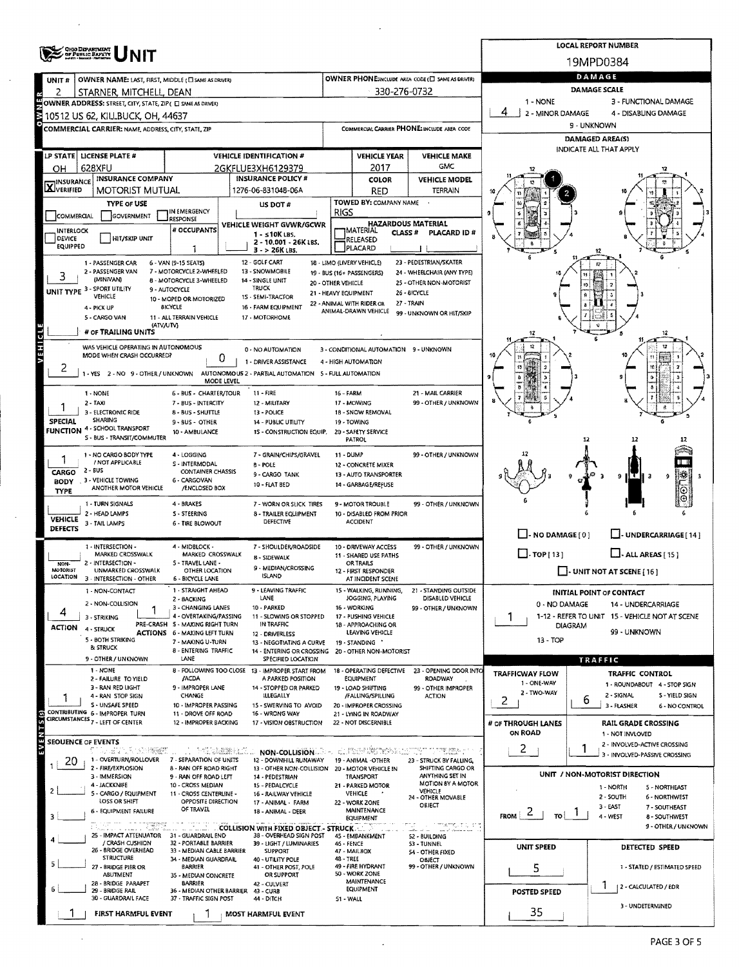|                                     |                                                                    |                                                                        | <b>LOCAL REPORT NUMBER</b>                                                                                      |                                             |                                                                     |                                                   |                                   |                                                               |  |  |  |  |
|-------------------------------------|--------------------------------------------------------------------|------------------------------------------------------------------------|-----------------------------------------------------------------------------------------------------------------|---------------------------------------------|---------------------------------------------------------------------|---------------------------------------------------|-----------------------------------|---------------------------------------------------------------|--|--|--|--|
|                                     | OHIO DEPARTMENT<br>- of Public Bapty<br>- metri Novel: Department  |                                                                        |                                                                                                                 |                                             |                                                                     |                                                   |                                   | 19MPD0384                                                     |  |  |  |  |
| UNIT <sup>#</sup>                   | OWNER NAME: LAST, FIRST, MIDDLE (C) SAME AS DRIVERY                |                                                                        |                                                                                                                 |                                             |                                                                     | OWNER PHONE:INCLUDE AREA CODE (E) SAME AS DRIVER) | DAMAGE                            |                                                               |  |  |  |  |
| 2                                   | STARNER, MITCHELL, DEAN                                            |                                                                        |                                                                                                                 |                                             | 330-276-0732                                                        |                                                   |                                   | DAMAGE SCALE                                                  |  |  |  |  |
|                                     | OWNER ADDRESS: STREET, CITY, STATE, ZIP ( C) SAME AS DRIVER)       |                                                                        |                                                                                                                 |                                             |                                                                     |                                                   | 1 - NONE<br>4                     | 3 - FUNCTIONAL DAMAGE<br>4 - DISABLING DAMAGE                 |  |  |  |  |
|                                     | 10512 US 62, KILLBUCK, OH, 44637                                   |                                                                        |                                                                                                                 | COMMERCIAL CARRIER PHONE: INCLUDE AREA CODE |                                                                     |                                                   | 2 - MINOR DAMAGE<br>9 - UNKNOWN   |                                                               |  |  |  |  |
|                                     | COMMERCIAL CARRIER: NAME, ADDRESS, CITY, STATE, ZIP                |                                                                        |                                                                                                                 |                                             |                                                                     |                                                   | DAMAGED AREA(S)                   |                                                               |  |  |  |  |
|                                     | LP STATE LICENSE PLATE #                                           |                                                                        | <b>VEHICLE IDENTIFICATION #</b>                                                                                 |                                             | <b>VEHICLE YEAR</b>                                                 | <b>VEHICLE MAKE</b>                               | INDICATE ALL THAT APPLY           |                                                               |  |  |  |  |
| OН                                  | 628XFU                                                             |                                                                        | 2GKFLUE3XH6129379                                                                                               |                                             | 2017                                                                | <b>GMC</b>                                        |                                   |                                                               |  |  |  |  |
| <b>X</b> INSURANCE                  | <b>INSURANCE COMPANY</b>                                           |                                                                        | <b>INSURANCE POLICY #</b>                                                                                       |                                             | <b>COLOR</b>                                                        | <b>VEHICLE MODEL</b>                              |                                   |                                                               |  |  |  |  |
|                                     | <b>MOTORIST MUTUAL</b>                                             |                                                                        | 1276-06-831048-06A                                                                                              |                                             | <b>RED</b>                                                          | <b>TERRAIN</b>                                    |                                   |                                                               |  |  |  |  |
| COMMERCIAL                          | <b>TYPE OF USE</b><br>GOVERNMENT                                   | IN EMERGENCY                                                           | US DOT #                                                                                                        | RIGS                                        | TOWED BY: COMPANY NAME                                              |                                                   |                                   |                                                               |  |  |  |  |
| <b>INTERLOCK</b>                    |                                                                    | <b>RESPONSE</b><br># OCCUPANTS                                         | VEHICLE WEIGHT GVWR/GCWR                                                                                        |                                             | <b>HAZARDOUS MATERIAL</b><br><b>IMATERIAL</b><br>CLASS <sup>#</sup> | <b>PLACARD ID#</b>                                |                                   |                                                               |  |  |  |  |
| <b>DEVICE</b><br><b>EQUIPPED</b>    | HIT/SKIP UNIT                                                      |                                                                        | 1 - s 10K LBS.<br>2 - 10.001 - 26K LBS.                                                                         |                                             | RELEASED                                                            |                                                   |                                   |                                                               |  |  |  |  |
|                                     |                                                                    | 1                                                                      | $3 - 26K$ LBS.<br>12 - GOLF CART                                                                                |                                             | PLACARD<br>18 - LIMO (LIVERY VEHICLE)                               | 23 - PEDESTRIAN/SKATER                            |                                   |                                                               |  |  |  |  |
| 3                                   | 1 - PASSENGER CAR<br>2 - PASSENGER VAN                             | 6 - VAN (9-15 SEATS)<br>7 - MOTORCYCLE 2-WHEELED                       | 13 - SNOWMOBILE                                                                                                 |                                             | 19 - BUS (16+ PASSENGERS)                                           | 24 - WHEELCHAIR (ANY TYPE)                        |                                   | 12                                                            |  |  |  |  |
|                                     | (MINIVAN)<br>UNIT TYPE 3 - SPORT UTILITY                           | 8 - MOTORCYCLE 3-WHEELED<br>9 - AUTOCYCLE                              | 14 - SINGLE UNIT<br>TRUCK                                                                                       | 20 - OTHER VEHICLE                          |                                                                     | 25 - OTHER NON-MOTORIST<br>26 - BICYCLE           |                                   |                                                               |  |  |  |  |
|                                     | VEHICLE<br>4 - PICK UP                                             | 10 - MOPED OR MOTORIZED<br>BICYCLE                                     | 15 - SEMI-TRACTOR<br>16 - FARM EQUIPMENT                                                                        | 21 - HEAVY EQUIPMENT                        | 22 - ANIMAL WITH RIDER OR                                           | 27 - TRAIN                                        |                                   |                                                               |  |  |  |  |
|                                     | 5 - CARGO VAN                                                      | 11 - ALL TERRAIN VEHICLE                                               | 17 - MOTORHOME                                                                                                  |                                             | ANIMAL-DRAWN VEHICLE                                                | 99 - UNKNOWN OR HIT/SKIP                          |                                   |                                                               |  |  |  |  |
| G                                   | (ATV/UTV)<br># OF TRAILING UNITS                                   |                                                                        |                                                                                                                 |                                             |                                                                     |                                                   |                                   | 12                                                            |  |  |  |  |
| ä                                   | WAS VEHICLE OPERATING IN AUTONOMOUS                                |                                                                        | 0 - NO AUTOMATION                                                                                               |                                             | 3 - CONDITIONAL AUTOMATION 9 - UNKNOWN                              |                                                   |                                   |                                                               |  |  |  |  |
|                                     | MODE WHEN CRASH OCCURRED?                                          | 0                                                                      | 1 - DRIVER ASSISTANCE                                                                                           |                                             | 4 - HIGH AUTOMATION                                                 |                                                   | 13                                |                                                               |  |  |  |  |
| 2                                   | -YES 2-NO 9-OTHER/UNKNOWN                                          | MODE LEVEL                                                             | AUTONOMOUS 2 - PARTIAL AUTOMATION 5 - FULL AUTOMATION                                                           |                                             |                                                                     |                                                   | Ð                                 |                                                               |  |  |  |  |
|                                     | 1 - NONE                                                           | 6 - BUS - CHARTER/TOUR                                                 | 11 - FIRE                                                                                                       | 16 - FARM                                   |                                                                     | 21 - MAIL CARRIER                                 | ð                                 |                                                               |  |  |  |  |
|                                     | 2 - TAXI<br>3 - ELECTRONIC RIDE                                    | 7 - BUS - INTERCITY<br>8 - BUS - SHUTTLE                               | 12 - MILITARY<br>13 - POLICE                                                                                    |                                             | 17 - MOWING<br>18 - SNOW REMOVAL                                    | 99 - OTHER / UNKNOWN                              |                                   |                                                               |  |  |  |  |
| <b>SPECIAL</b>                      | SHARING                                                            | 9 - BUS - OTHER                                                        | 14 - PUBLIC UTILITY                                                                                             |                                             | 19 - TOWING                                                         |                                                   |                                   |                                                               |  |  |  |  |
| <b>FUNCTION</b>                     | 4 - SCHOOL TRANSPORT<br>S - BUS - TRANSIT/COMMUTER                 | 10 - AMBULANCE                                                         | 1S - CONSTRUCTION EQUIP.                                                                                        |                                             | 20 - SAFETY SERVICE<br>PATROL                                       |                                                   |                                   | 12                                                            |  |  |  |  |
|                                     | 1 - NO CARGO BODY TYPE                                             | 4 - LOGGING                                                            | 7 - GRAIN/CHIPS/GRAVEL                                                                                          | 11 - DUMP                                   |                                                                     | 99 - OTHER / UNKNOWN                              |                                   |                                                               |  |  |  |  |
|                                     | / NOT APPLICABLE<br>2 - BUS                                        | S - INTERMODAL<br><b>CONTAINER CHASSIS</b>                             | 8 - POLE                                                                                                        |                                             | 12 - CONCRETE MIXER                                                 |                                                   |                                   |                                                               |  |  |  |  |
| <b>CARGO</b><br><b>BODY</b>         | 3 - VEHICLE TOWING                                                 | 6 - CARGOVAN                                                           | 9 - CARGO TANK<br>10 - FLAT BED                                                                                 |                                             | 13 - AUTO TRANSPORTER<br>14 - GARBAGE/REFUSE                        |                                                   |                                   | ¦H€<br>9<br>lз<br>9<br>з                                      |  |  |  |  |
| <b>TYPE</b>                         | ANOTHER MOTOR VEHICLE                                              | /ENCLOSED BOX                                                          |                                                                                                                 |                                             |                                                                     |                                                   |                                   |                                                               |  |  |  |  |
|                                     | 1 - TURN SIGNALS<br>2 - HEAD LAMPS                                 | 4 - BRAKES<br>S - STEERING                                             | 7 - WORN OR SLICK TIRES<br>8 - TRAILER EQUIPMENT                                                                |                                             | 9 - MOTOR TROUBLE<br>10 - DISABLED FROM PRIOR                       | 99 - OTHER / UNKNOWN                              |                                   |                                                               |  |  |  |  |
| <b>VEHICLE</b><br><b>DEFECTS</b>    | 3 - TAIL LAMPS                                                     | <b>6 - TIRE BLOWOUT</b>                                                | DEFECTIVE                                                                                                       |                                             | <b>ACCIDENT</b>                                                     |                                                   |                                   |                                                               |  |  |  |  |
|                                     | 1 - INTERSECTION -                                                 | 4 - MIDBLOCK -                                                         | 7 - SHOULDER/ROADSIDE                                                                                           |                                             | 10 - DRIVEWAY ACCESS                                                | 99 - OTHER / UNKNOWN                              | $\Box$ - NO DAMAGE [0]            | J- UNDERCARRIAGE [14]                                         |  |  |  |  |
|                                     | MARKED CROSSWALK                                                   | MARKED CROSSWALK                                                       | 8 - SIDEWALK                                                                                                    |                                             | 11 - SHARED USE PATHS                                               |                                                   | $\Box$ TOP [13]                   | $\Box$ - ALL AREAS [ 15 ]                                     |  |  |  |  |
| NON-<br><b>MOTORIST</b><br>LOCATION | 2 - INTERSECTION -<br>UNMARKED CROSSWALK                           | 5 - TRAVEL LANE -<br>OTHER LOCATION                                    | 9 - MEDIAN/CROSSING<br><b>ISLAND</b>                                                                            |                                             | OR TRAILS<br>12 - FIRST RESPONDER                                   |                                                   |                                   | $\Box$ - UNIT NOT AT SCENE [ 16 ]                             |  |  |  |  |
|                                     | 3 - INTERSECTION - OTHER<br>1 - NON-CONTACT                        | 6 - BICYCLE LANE<br>1 - STRAIGHT AHEAD                                 | 9 - LEAVING TRAFFIC                                                                                             |                                             | AT INCIDENT SCENE<br>15 - WALKING, RUNNING,                         | 21 - STANDING OUTSIDE                             |                                   | <b>INITIAL POINT OF CONTACT</b>                               |  |  |  |  |
|                                     | 2 - NON-COLLISION                                                  | 2 - BACKING                                                            | LANE<br>10 - PARKED                                                                                             |                                             | JOGGING, PLAYING                                                    | DISABLED VEHICLE                                  | 0 - NO DAMAGE                     | 14 - UNDERCARRIAGE                                            |  |  |  |  |
|                                     | 3 - STRIKING                                                       | 3 - CHANGING LANES<br>4 - OVERTAKING/PASSING                           | 11 - SLOWING OR STOPPED                                                                                         |                                             | 16 - WORKING<br>17 - PUSHING VEHICLE                                | 99 - OTHER / UNKNOWN                              | T.                                | 1-12 - REFER TO UNIT 15 - VEHICLE NOT AT SCENE                |  |  |  |  |
| <b>ACTION</b>                       | 4 - STRUCK                                                         | PRE-CRASH 5 - MAKING RIGHT TURN<br><b>ACTIONS 6 - MAXING LEFT TURN</b> | IN TRAFFIC<br>12 - DRIVERLESS                                                                                   |                                             | 18 - APPROACHING OR<br>LEAVING VEHICLE                              |                                                   | <b>DIAGRAM</b>                    | 99 - UNKNOWN                                                  |  |  |  |  |
|                                     | 5 - BOTH STRIKING<br>& STRUCK                                      | 7 - MAKING U-TURN<br>8 - ENTERING TRAFFIC                              | 13 - NEGOTIATING A CURVE<br>14 - ENTERING OR CROSSING                                                           |                                             | 19 - STANDING<br>20 - OTHER NON-MOTORIST                            |                                                   | 13 - TOP                          |                                                               |  |  |  |  |
|                                     | 9 - OTHER / UNKNOWN                                                | LANE                                                                   | SPECIFIED LOCATION                                                                                              |                                             |                                                                     |                                                   |                                   | <b>TRAFFIC</b>                                                |  |  |  |  |
|                                     | 1 - NONE<br>2 - FAILURE TO YIELD                                   | <b>/ACDA</b>                                                           | 8 - FOLLOWING TOO CLOSE 13 - IMPROPER START FROM<br>A PARKED POSITION                                           |                                             | 18 - OPERATING DEFECTIVE<br>EQUIPMENT                               | 23 - OPENING DOOR INTO<br>ROADWAY                 | <b>TRAFFICWAY FLOW</b>            | <b>TRAFFIC CONTROL</b>                                        |  |  |  |  |
|                                     | 3 - RAN RED LIGHT<br>4 - RAN STOP SIGN                             | 9 - IMPROPER LANE<br>CHANGE                                            | 14 - STOPPED OR PARKED<br>ILLEGALLY                                                                             |                                             | 19 - LOAD SHIFTING<br>/FALLING/SPILLING                             | 99 - OTHER IMPROPER<br><b>ACTION</b>              | 1 - ONE-WAY<br>2 - TWO-WAY        | 1 - ROUNDABOUT 4 - STOP SIGN<br>2 - SIGNAL<br>S - YIELD SIGN  |  |  |  |  |
|                                     | S - UNSAFE SPEED                                                   | 10 - IMPROPER PASSING                                                  | 15 - SWERVING TO AVOID                                                                                          |                                             | 20 - IMPROPER CROSSING                                              |                                                   | 2                                 | ь<br>3 - FLASHER<br>6 - NO CONTROL                            |  |  |  |  |
| S <sub>IS</sub>                     | CONTRIBUTING 6 - IMPROPER TURN<br>CIRCUMSTANCES 7 - LEFT OF CENTER | 11 - DROVE OFF ROAD<br>12 - IMPROPER BACKING                           | 16 - WRONG WAY<br>17 - VISION OBSTRUCTION                                                                       |                                             | 21 - LYING IN ROADWAY<br>22 - NOT DISCERNIBLE                       |                                                   | # OF THROUGH LANES                | <b>RAIL GRADE CROSSING</b>                                    |  |  |  |  |
|                                     | SEOUENCE OF EVENTS                                                 |                                                                        |                                                                                                                 |                                             |                                                                     |                                                   | ON ROAD                           | 1 - NOT INVLOVED                                              |  |  |  |  |
| E                                   | 与最低不低的睡眠。                                                          | <b>Second Property September</b>                                       | NON-COLLISION MARKET AND RESERVED TO THE CONTROL OF THE CONTROL OF THE CONTROL OF THE CONTROL OF THE CONTROL OF |                                             |                                                                     |                                                   | 2                                 | 2 - INVOLVED-ACTIVE CROSSING<br>3 - INVOLVED-PASSIVE CROSSING |  |  |  |  |
| 20                                  | 1 - OVERTURN/ROLLOVER<br>2 - FIRE/EXPLOSION                        | 7 - SEPARATION OF UNITS<br>8 - RAN OFF ROAD RIGHT                      | 12 - DOWNHILL RUNAWAY<br>13 - OTHER NON-COLLISION 20 - MOTOR VEHICLE IN                                         |                                             | 19 - ANIMAL -OTHER                                                  | 23 - STRUCK BY FALLING,<br>SHIFTING CARGO OR      |                                   |                                                               |  |  |  |  |
|                                     | 3 - IMMERSION<br>4 - JACKKNIFE                                     | 9 - RAN OFF ROAD LEFT<br>10 - CROSS MEDIAN                             | 14 - PEDESTRIAN<br>15 - PEDALCYCLE                                                                              |                                             | TRANSPORT<br>21 - PARKED MOTOR                                      | ANYTHING SET IN<br>MOTION BY A MOTOR              |                                   | UNIT / NON-MOTORIST DIRECTION<br>1 - NORTH<br>5 - NORTHEAST   |  |  |  |  |
|                                     | 5 - CARGO / EQUIPMENT<br>LOSS OR SHIFT                             | 11 - CROSS CENTERLINE -<br>OPPOSITE DIRECTION                          | 16 - RAILWAY VEHICLE                                                                                            |                                             | VEHICLE                                                             | VEHICLE<br>24 - OTHER MOVABLE                     |                                   | 2 - SOUTH<br>6 - NORTHWEST                                    |  |  |  |  |
|                                     | 6 - EQUIPMENT FAILURE                                              | OF TRAVEL                                                              | 17 - ANIMAL - FARM<br>18 - ANIMAL - DEER                                                                        |                                             | 22 - WORK ZONE<br>MAINTENANCE                                       | OBJECT                                            | $\epsilon$<br>TO !<br><b>FROM</b> | 3 - EAST<br>7 - SOUTHEAST<br>4 - WEST<br><b>B - SOUTHWEST</b> |  |  |  |  |
|                                     |                                                                    |                                                                        | <b>EXAMPLE 2004 COLLISION WITH FIXED OBJECT - STRUCK - 1</b>                                                    |                                             | EQUIPMENT                                                           | in mampirity is g<br>cather of the                |                                   | 9 - OTHER / UNKNOWN                                           |  |  |  |  |
|                                     | 25 - IMPACT ATTENUATOR<br>/ CRASH CUSHION                          | 31 - GUARDRAIL END<br>32 - PORTABLE BARRIER                            | 38 - OVERHEAD SIGN POST<br>39 - LIGHT / LUMINARIES                                                              | 46 - FENCE                                  | 45 - EMBANKMENT                                                     | 52 - BUILDING<br>53 - TUNNEL                      | UNIT SPEED                        |                                                               |  |  |  |  |
|                                     | 26 - BRIDGE OVERHEAD<br><b>STRUCTURE</b>                           | 33 - MEDIAN CABLE BARRIER<br>34 - MEDIAN GUARDRAIL                     | <b>SUPPORT</b><br>40 - UTILITY POLE                                                                             | 48 - TREE                                   | 47 - MAILBOX                                                        | <b>54 - OTHER FIXED</b><br>OBJECT                 |                                   | <b>DETECTED SPEED</b>                                         |  |  |  |  |
|                                     | 27 - BRIDGE PIER OR<br><b>ABUTMENT</b>                             | <b>BARRIER</b><br>35 - MEDIAN CONCRETE                                 | 41 - OTHER POST, POLE<br>OR SUPPORT                                                                             |                                             | 49 - FIRE HYDRANT<br>50 - WORK ZONE                                 | 99 - OTHER / UNKNOWN                              | 5                                 | 1 - STATED / ESTIMATED SPEED                                  |  |  |  |  |
|                                     | 28 - BRIDGE PARAPET<br>29 - BRIDGE RAIL                            | BARRIER<br>36 - MEDIAN OTHER BARRIER                                   | 42 - CULVERT<br>43 - CURB                                                                                       |                                             | MAINTENANCE<br><b>EQUIPMENT</b>                                     |                                                   |                                   | 2 - CALCULATED / EDR                                          |  |  |  |  |
|                                     | 30 - GUARDRAIL FACE                                                | 37 - TRAFFIC SIGN POST                                                 | 44 - DITCH                                                                                                      | 51 - WALL                                   |                                                                     |                                                   | <b>POSTED SPEED</b>               | 3 - UNDETERMINED                                              |  |  |  |  |
|                                     | FIRST HARMFUL EVENT                                                |                                                                        | <b>MOST HARMFUL EVENT</b>                                                                                       |                                             |                                                                     |                                                   | 35                                |                                                               |  |  |  |  |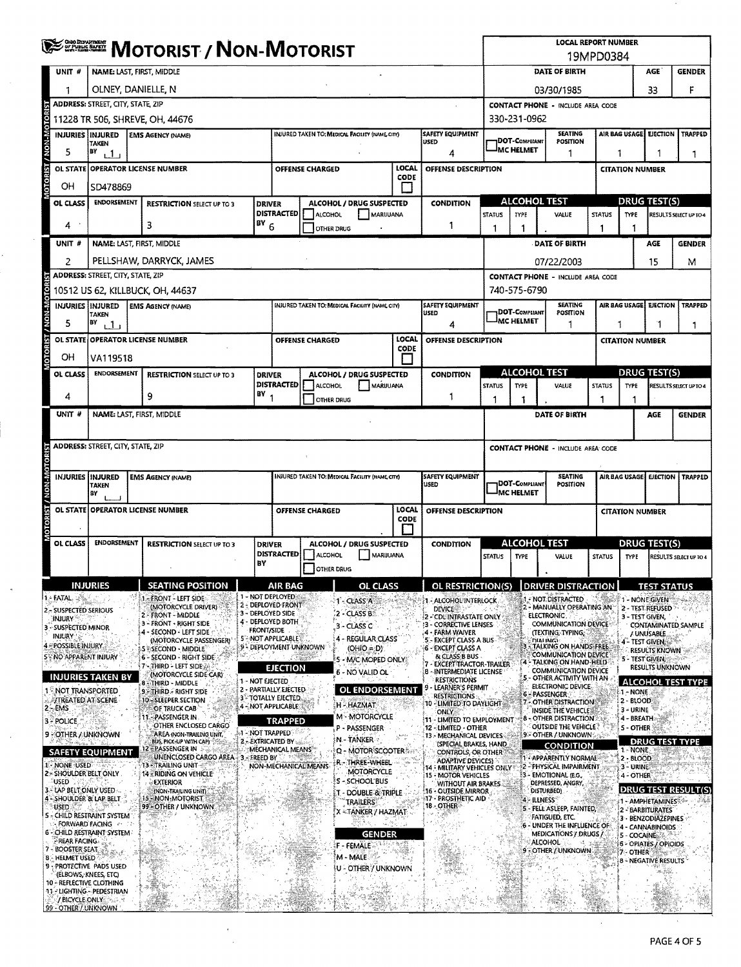|                                                                      | <b>WE SHERE MOTORIST / NON-MOTORIST</b>                                                                                                                             |                                                                            |                                                                             |  |                                                                              |                                 |                                                                                         | <b>LOCAL REPORT NUMBER</b><br>19MPD0384 |                                                                         |                                              |                                                                                      |                                                                          |                                                    |                           |                                                       |                               |  |
|----------------------------------------------------------------------|---------------------------------------------------------------------------------------------------------------------------------------------------------------------|----------------------------------------------------------------------------|-----------------------------------------------------------------------------|--|------------------------------------------------------------------------------|---------------------------------|-----------------------------------------------------------------------------------------|-----------------------------------------|-------------------------------------------------------------------------|----------------------------------------------|--------------------------------------------------------------------------------------|--------------------------------------------------------------------------|----------------------------------------------------|---------------------------|-------------------------------------------------------|-------------------------------|--|
| UNIT #                                                               | <b>NAME: LAST, FIRST, MIDDLE</b>                                                                                                                                    |                                                                            |                                                                             |  |                                                                              |                                 |                                                                                         |                                         |                                                                         | DATE OF BIRTH<br><b>AGE</b><br><b>GENDER</b> |                                                                                      |                                                                          |                                                    |                           |                                                       |                               |  |
|                                                                      | OLNEY, DANIELLE, N                                                                                                                                                  |                                                                            |                                                                             |  |                                                                              |                                 |                                                                                         |                                         |                                                                         | 33<br>03/30/1985                             |                                                                                      |                                                                          |                                                    |                           |                                                       | F                             |  |
|                                                                      | <b>ADDRESS: STREET, CITY, STATE, ZIP</b>                                                                                                                            |                                                                            |                                                                             |  |                                                                              |                                 |                                                                                         |                                         |                                                                         | <b>CONTACT PHONE - INCLUDE AREA CODE</b>     |                                                                                      |                                                                          |                                                    |                           |                                                       |                               |  |
|                                                                      | 11228 TR 506, SHREVE, OH, 44676<br>SAFETY EQUIPMENT<br><b>INJURIES INJURED</b><br><b>INJURED TAKEN TO: MEDICAL FACILITY (NAME CITY)</b><br><b>EMS AGENCY (NAME)</b> |                                                                            |                                                                             |  |                                                                              |                                 |                                                                                         |                                         |                                                                         |                                              | 330-231-0962<br><b>SEATING</b><br>AIR BAG USAGE<br><b>EJECTION</b><br><b>TRAPPED</b> |                                                                          |                                                    |                           |                                                       |                               |  |
| NON-MOTO<br>5                                                        | <b>TAKEN</b><br>BY                                                                                                                                                  | <b>USED</b>                                                                |                                                                             |  |                                                                              |                                 |                                                                                         |                                         |                                                                         |                                              | 1DOT-COMPLIANT<br><b>IMC HELMET</b>                                                  | <b>POSITION</b>                                                          |                                                    |                           |                                                       |                               |  |
| <u>is</u><br>OL STATE                                                | 4<br>ر 1ء<br>LOCAL<br><b>OPERATOR LICENSE NUMBER</b><br><b>OFFENSE CHARGED</b>                                                                                      |                                                                            |                                                                             |  |                                                                              |                                 |                                                                                         | OFFENSE DESCRIPTION                     |                                                                         |                                              | 1                                                                                    |                                                                          | 1<br>1<br>1<br><b>CITATION NUMBER</b>              |                           |                                                       |                               |  |
| <b>ROTOR</b><br>OН                                                   | CODE<br>SD478869                                                                                                                                                    |                                                                            |                                                                             |  |                                                                              |                                 |                                                                                         |                                         |                                                                         |                                              |                                                                                      |                                                                          |                                                    |                           |                                                       |                               |  |
| OL CLASS                                                             |                                                                                                                                                                     | <b>ENDORSEMENT</b><br><b>RESTRICTION SELECT UP TO 3</b>                    |                                                                             |  | <b>DRIVER</b>                                                                |                                 | <b>ALCOHOL / DRUG SUSPECTED</b>                                                         |                                         | <b>CONDITION</b>                                                        | <b>ALCOHOL TEST</b>                          |                                                                                      |                                                                          |                                                    |                           | <b>DRUG TEST(S)</b>                                   |                               |  |
| 4                                                                    |                                                                                                                                                                     |                                                                            | 3                                                                           |  | <b>DISTRACTED</b><br>$18Y$ <sub>6</sub>                                      | ALCOHOL                         | MARIJUANA                                                                               |                                         | 1                                                                       | <b>STATUS</b>                                | TYPE                                                                                 | <b>VALUE</b>                                                             | <b>STATUS</b>                                      | <b>TYPE</b>               |                                                       | <b>RESULTS SELECT UP TO 4</b> |  |
| UNIT#                                                                |                                                                                                                                                                     |                                                                            | NAME: LAST, FIRST, MIDDLE                                                   |  |                                                                              | <b>OTHER DRUG</b>               |                                                                                         |                                         |                                                                         | 1                                            | 1                                                                                    | <b>DATE OF BIRTH</b>                                                     | 1                                                  | 1                         | AGE                                                   | <b>GENDER</b>                 |  |
| 2                                                                    |                                                                                                                                                                     |                                                                            | PELLSHAW, DARRYCK, JAMES                                                    |  |                                                                              |                                 |                                                                                         |                                         |                                                                         |                                              |                                                                                      | 07/22/2003                                                               |                                                    |                           | 15                                                    | м                             |  |
|                                                                      | <b>ADDRESS: STREET, CITY, STATE, ZIP</b>                                                                                                                            |                                                                            |                                                                             |  |                                                                              |                                 |                                                                                         |                                         |                                                                         |                                              |                                                                                      | <b>CONTACT PHONE - INCLUDE AREA CODE</b>                                 |                                                    |                           |                                                       |                               |  |
|                                                                      |                                                                                                                                                                     |                                                                            | 10512 US 62, KILLBUCK, OH, 44637                                            |  |                                                                              |                                 |                                                                                         |                                         |                                                                         |                                              | 740-575-6790                                                                         |                                                                          |                                                    |                           |                                                       |                               |  |
| RIST / NON-MOTOR<br>5                                                | INJURIES INJURED<br>TAKEN<br>BY<br>111                                                                                                                              |                                                                            | <b>EMS AGENCY (NAME)</b>                                                    |  |                                                                              |                                 | INJURED TAKEN TO: MEDICAL FACILITY (NAME CITY)                                          |                                         | <b>SAFETY EQUIPMENT</b><br><b>USED</b><br>4                             |                                              | <b>DOT-COMPLIANT</b><br><b>MC HELMET</b>                                             | <b>SEATING</b><br>POSITION<br>1                                          | AIR BAG USAGE EJECTION<br><b>TRAPPED</b><br>1<br>1 |                           |                                                       |                               |  |
|                                                                      |                                                                                                                                                                     |                                                                            | OL STATE OPERATOR LICENSE NUMBER                                            |  |                                                                              | OFFENSE CHARGED                 |                                                                                         | <b>LOCAL</b><br><b>CODE</b>             | OFFENSE DESCRIPTION                                                     |                                              |                                                                                      |                                                                          |                                                    | <b>CITATION NUMBER</b>    |                                                       |                               |  |
| io.oi<br>OН                                                          | VA119518                                                                                                                                                            |                                                                            |                                                                             |  |                                                                              |                                 |                                                                                         |                                         |                                                                         |                                              |                                                                                      |                                                                          |                                                    |                           |                                                       |                               |  |
| OL CLASS                                                             | <b>ENDORSEMENT</b>                                                                                                                                                  |                                                                            | <b>RESTRICTION SELECT UP TO 3</b>                                           |  | <b>DRIVER</b><br><b>DISTRACTED</b>                                           | ALCOHOL                         | ALCOHOL / DRUG SUSPECTED<br>MARUUANA                                                    |                                         | <b>CONDITION</b>                                                        | <b>STATUS</b>                                | <b>ALCOHOL TEST</b><br><b>TYPE</b>                                                   | VALUE                                                                    | <b>STATUS</b>                                      | <b>TYPE</b>               | <b>DRUG TEST(S)</b>                                   |                               |  |
| 4                                                                    |                                                                                                                                                                     |                                                                            | 9                                                                           |  | $18Y$ <sub>1</sub>                                                           | OTHER DRUG                      |                                                                                         |                                         | 1                                                                       | 1                                            | 1                                                                                    |                                                                          | 1                                                  |                           |                                                       | RESULTS SELECT UP TO 4        |  |
| UNIT #                                                               |                                                                                                                                                                     |                                                                            | NAME: LAST, FIRST, MIDDLE                                                   |  |                                                                              |                                 |                                                                                         |                                         |                                                                         |                                              |                                                                                      | DATE OF BIRTH                                                            |                                                    |                           | AGE                                                   | <b>GENDER</b>                 |  |
|                                                                      | <b>ADDRESS: STREET, CITY, STATE, ZIP</b>                                                                                                                            |                                                                            |                                                                             |  |                                                                              |                                 |                                                                                         |                                         |                                                                         | <b>CONTACT PHONE - INCLUDE AREA CODE</b>     |                                                                                      |                                                                          |                                                    |                           |                                                       |                               |  |
|                                                                      |                                                                                                                                                                     |                                                                            |                                                                             |  |                                                                              |                                 |                                                                                         |                                         |                                                                         |                                              |                                                                                      |                                                                          |                                                    |                           |                                                       |                               |  |
| <b>ST/NON-MOTO</b><br><b>INJURIES IINJURED</b>                       | <b>TAKEN</b><br>BY                                                                                                                                                  | INJURED TAKEN TO: MEDICAL FACILITY (NAME CITY)<br><b>EMS AGENCY (NAME)</b> |                                                                             |  |                                                                              | <b>SAFETY EQUIPMENT</b><br>USED | <b>SEATING</b><br>AIR BAG USAGE<br>DOT-COMPLIANT<br><b>POSITION</b><br><b>MC HELMET</b> |                                         |                                                                         |                                              |                                                                                      |                                                                          | <b>EJECTION   TRAPPED</b>                          |                           |                                                       |                               |  |
| <b>OL STATE</b>                                                      |                                                                                                                                                                     |                                                                            | <b>OPERATOR LICENSE NUMBER</b>                                              |  | <b>LOCAL</b><br><b>OFFENSE CHARGED</b><br>OFFENSE DESCRIPTION<br><b>CODE</b> |                                 |                                                                                         |                                         |                                                                         |                                              |                                                                                      |                                                                          | <b>CITATION NUMBER</b>                             |                           |                                                       |                               |  |
| OL CLASS                                                             | ENDORSEMENT                                                                                                                                                         |                                                                            | <b>RESTRICTION SELECT UP TO 3</b>                                           |  | <b>DRIVER</b><br><b>DISTRACTED</b>                                           | ALCOHOL                         | ALCOHOL / DRUG SUSPECTED<br>MARIJUANA                                                   |                                         | <b>CONDITION</b>                                                        | <b>STATUS</b>                                | <b>ALCOHOL TEST</b><br><b>TYPE</b>                                                   | VALUE                                                                    | <b>STATUS</b>                                      | <b>TYPE</b>               | <b>DRUG TEST(S)</b>                                   | RESULTS SELECT UP TO 4        |  |
|                                                                      |                                                                                                                                                                     |                                                                            |                                                                             |  | BY                                                                           | <b>OTHER DRUG</b>               |                                                                                         |                                         |                                                                         |                                              |                                                                                      |                                                                          |                                                    |                           |                                                       |                               |  |
|                                                                      | <b>INJURIES</b>                                                                                                                                                     |                                                                            | SEATING POSITION                                                            |  | <b>AIR BAG</b>                                                               |                                 | OL CLASS                                                                                |                                         | OL RESTRICTION(S)                                                       |                                              |                                                                                      | <b>DRIVER DISTRACTION</b>                                                |                                                    |                           | <b>TEST STATUS</b>                                    |                               |  |
| 1 - FATAL<br>2 – SUSPECTED SERIOUS                                   |                                                                                                                                                                     |                                                                            | 1 - FRONT - LEFT SIDE<br>(MOTORCYCLE DRIVER)<br>2 - FRONT - MIDDLE          |  | 1 - NOT DEPLOYED<br>2 - DEPLOYED FRONT<br>3 - DEPLOYED SIDE                  |                                 | 1-CLASS A<br>2 - CLASS B                                                                |                                         | <b>ALCOHOL INTERLOCK</b><br><b>DEVICE</b>                               |                                              |                                                                                      | NOT DISTRACTED<br>2 - MANUALLY OPERATING AN                              |                                                    |                           | <b>1-NONE GIVEN</b><br>2 - TEST. REFUSED              |                               |  |
| :Injury<br>3 - SUSPECTED MINOR                                       |                                                                                                                                                                     |                                                                            | 3 - FRONT - RIGHT SIDE<br>4 - SECOND - LEFT SIDE                            |  | 4 - DEPLOYED BOTH<br><b>FRONT/SIDE</b>                                       |                                 | 3 - CLASS C                                                                             |                                         | 2 - CDL INTRASTATE ONLY<br>3 - CORRECTIVE LENSES-<br>4 - FARM WAIVER    |                                              |                                                                                      | <b>ELECTRONIC</b><br>COMMUNICATION DEVICE<br>(TEXTING, TYPING,           |                                                    | 3 - TEST GIVEN,           |                                                       | <b>CONTAMINATED SAMPLE</b>    |  |
| <b>INJURY</b><br>4 - POSSIBLE INJURY                                 |                                                                                                                                                                     |                                                                            | (MOTORCYCLE PASSENGER)<br><b>5 SECOND - MIDDLE</b>                          |  | 5 <sup>2</sup> -NOT APPLICABLE<br>9 - DEPLOYMENT UNKNOWN                     |                                 | 4 - REGULAR CLASS<br>(OHIO = D)                                                         |                                         | 5 - EXCEPT CLASS A BUS<br>6 - EXCEPT CLASS A                            |                                              |                                                                                      | <b>DIALING</b><br>TALKING ON HANDS FREE                                  |                                                    |                           | / UNUSABLE<br>4 - TEST GIVEN,<br><b>RESULTS KNOWN</b> |                               |  |
| <b>5 NO APPARENT INJURY</b>                                          |                                                                                                                                                                     |                                                                            | 6 - SECOND - RIGHT SIDE<br>7 - THIRD - LEFT SIDE »                          |  | <b>EJECTION</b>                                                              |                                 | 5 - M/C MOPED ONLY:                                                                     |                                         | & CLASS B BUS<br><b>EXCEPT TRACTOR-TRAILER</b>                          |                                              |                                                                                      | <b>COMMUNICATION DEVICE</b><br>TALKING ON HAND-HELD                      |                                                    |                           | 5 - TEST GIVEN,<br>RESULTS UNKNOWN                    |                               |  |
| <b>INJURIES TAKEN BY</b>                                             |                                                                                                                                                                     |                                                                            | (MOTORCYCLE SIDE CAR)<br>8 - THIRD - MIDDLE                                 |  | 1 - NOT EJECTED                                                              |                                 | 6 - NO VALID OL                                                                         |                                         | 8 - INTERMEDIATE LICENSE<br><b>RESTRICTIONS</b><br>LEARNER'S PERMIT     |                                              |                                                                                      | COMMUNICATION DEVICE<br>5 - OTHER ACTIVITY WITH AN<br>ELECTRONIC DEVICE- |                                                    |                           |                                                       | <b>ALCOHOL TEST TYPE</b>      |  |
| 1 NOT TRANSPORTED<br><b>TREATED AT SCENE</b>                         |                                                                                                                                                                     |                                                                            | 9 THIRD - RIGHT SIDE<br>10 - SLEEPER SECTION                                |  | 2 - PARTIALLY EJECTED<br><b>3 - TOTALLY EJECTED.</b><br>4 - NOT APPLICABLE   |                                 | <b>OL ENDORSEMENT</b><br>H - HAZMAT                                                     |                                         | <b>RESTRICTIONS</b><br><b>10 -LIMITED TO DAYLIGHT</b>                   |                                              |                                                                                      | <b>6-PASSENGER</b><br>7 - OTHER DISTRACTION                              |                                                    | $-$ NONE<br>2 - BLOOD     |                                                       |                               |  |
| $2 - EMS$<br>3 - POLICE                                              |                                                                                                                                                                     |                                                                            | OF TRUCK CAB<br>11 - PASSENGER IN                                           |  | TRAPPED                                                                      |                                 | M - MOTORCYCLE                                                                          |                                         | <b>ONLY</b><br>11 - LIMITED TO EMPLOYMENT                               |                                              |                                                                                      | INSIDE THE VEHICLE!<br>8 - OTHER DISTRACTION                             |                                                    | $3 - URINE$<br>4 - BREATH |                                                       |                               |  |
| 9 COTHER / UNKNOWN                                                   |                                                                                                                                                                     |                                                                            | OTHER ENCLOSED CARGO<br>AREA (NON-TRAILING UNIT,<br>BLIS, PICK-UP WITH CAPI |  | <b>AT-NOT TRAPPED</b><br>2. EXTRICATED BY                                    |                                 | P - PASSENGER<br>N-TANKER                                                               |                                         | 12 - LIMITED - OTHER<br>13 - MECHANICAL DEVICES                         |                                              |                                                                                      | <b>OUTSIDE THE VEHICLE</b><br>9 - OTHER / UNKNOWN :                      |                                                    | 5 - OTHER                 | <b>DRUG TEST</b>                                      |                               |  |
| <b>SAFETY EQUIPMENT</b>                                              |                                                                                                                                                                     |                                                                            | 12 = PASSENGER IN .<br>UNENCLOSED CARGO AREA 3 - FREED BY                   |  | MECHANICAL MEANS                                                             |                                 | Q - MOTOR'SCOOTER                                                                       |                                         | (SPECIAL BRAKES, HAND<br>CONTROLS, OR OTHER<br><b>ADAPTIVE DEVICES!</b> |                                              |                                                                                      | <b>CONDITION</b><br>1 - APPARENTLY NORMAL                                |                                                    | 1 - NONE<br>2 - BLOOD     |                                                       |                               |  |
| 1 - NONE USED<br>2 * SHOULDER BELT ONLY                              |                                                                                                                                                                     |                                                                            | 13 - TRAILING UNIT<br><b>14 - RIDING ON VEHICLE</b>                         |  | NON-MECHANICAL MEANS                                                         |                                 | r - Three-Wheel<br>MOTORCYCLE                                                           |                                         | 14 - MILITARY VEHICLES ONLY<br><b>15 - MOTOR VEHICLES</b>               |                                              |                                                                                      | 2 - PHYSICAL IMPAIRMENT<br>3 - EMOTIONAL (E.G.,                          |                                                    | 3 - URINE<br>4 - OTHER    |                                                       |                               |  |
| USED<br>3 - LAP BELT ONLY USED -                                     |                                                                                                                                                                     |                                                                            | EXTERIOR<br>(NON-TRAILING UNIT)                                             |  |                                                                              |                                 | S - SCHOOL BUS<br>- DOUBLE & TRIPLE                                                     |                                         | WITHOUT AIR BRAKES.<br>16 - OUTSIDE MIRROR                              |                                              |                                                                                      | DEPRESSED, ANGRY,<br>DISTURBED)                                          |                                                    |                           |                                                       | <b>DRUG TEST RESULT(S</b>     |  |
| 4 - SHOULDER & LAP BELT<br><b>USED</b>                               |                                                                                                                                                                     |                                                                            | 15 NON MOTORIST<br>99 - OTHER / UNKNOWN                                     |  |                                                                              |                                 | <b>TRAILERS</b><br>Χ = ΤΑΝΚΕR / ΗΑΖΜΑΤ                                                  |                                         | 17 - PROSTHETIC AID<br>18 - OTHER                                       |                                              | 4 - ILLNESS                                                                          | 5 - FELL ASLEEP, FAINTED,                                                |                                                    |                           | 1 - AMPHETAMINES%4<br>2 - BARBITURATES                |                               |  |
| <b>S</b> ~ CHILD RESTRAINT SYSTEM<br>6 - CHILD RESTRAINT SYSTEM      | <b>FORWARD FACING AND RE</b>                                                                                                                                        |                                                                            |                                                                             |  |                                                                              |                                 |                                                                                         |                                         |                                                                         |                                              |                                                                                      | FATIGUED, ETC.<br>6 - UNDER THE INFLUENCE OF                             |                                                    |                           | 3 - BENZODIAZEPINES<br>4 - CANNABINOIDS               |                               |  |
| <b>REAR FACING.</b><br>7 - BOOSTER SEAT                              |                                                                                                                                                                     |                                                                            |                                                                             |  |                                                                              |                                 | <b>GENDER</b><br>F - FEMALE                                                             |                                         |                                                                         |                                              |                                                                                      | MEDICATIONS / DRUGS /<br>ALCOHOL<br>9 - OTHER / UNKNOWN                  |                                                    | 5 - COCAINE<br>7 - OTHER  | 6 - OPIATES / OPIOIDS                                 |                               |  |
| 8 - HELMET USED<br>9 - PROTECTIVE PADS USED                          |                                                                                                                                                                     |                                                                            |                                                                             |  |                                                                              |                                 | M - MALE<br>u - Othery Unknown                                                          |                                         |                                                                         |                                              |                                                                                      |                                                                          |                                                    |                           | 8 - NEGATIVE RESULTS                                  |                               |  |
| 10 - REFLECTIVE CLOTHING                                             | (ELBOWS, KNEES, ETC)                                                                                                                                                |                                                                            |                                                                             |  |                                                                              |                                 |                                                                                         |                                         |                                                                         |                                              |                                                                                      |                                                                          |                                                    |                           |                                                       |                               |  |
| 11 - LIGHTING - PEDESTRIAN<br>/ BICYCLE ONLY<br>99 - OTHER / UNKNOWN |                                                                                                                                                                     |                                                                            |                                                                             |  |                                                                              |                                 |                                                                                         |                                         |                                                                         |                                              |                                                                                      |                                                                          |                                                    |                           |                                                       |                               |  |

à,  $\ddot{\phantom{0}}$ 

 $\bar{\alpha}$ 

 $\bar{\psi}$